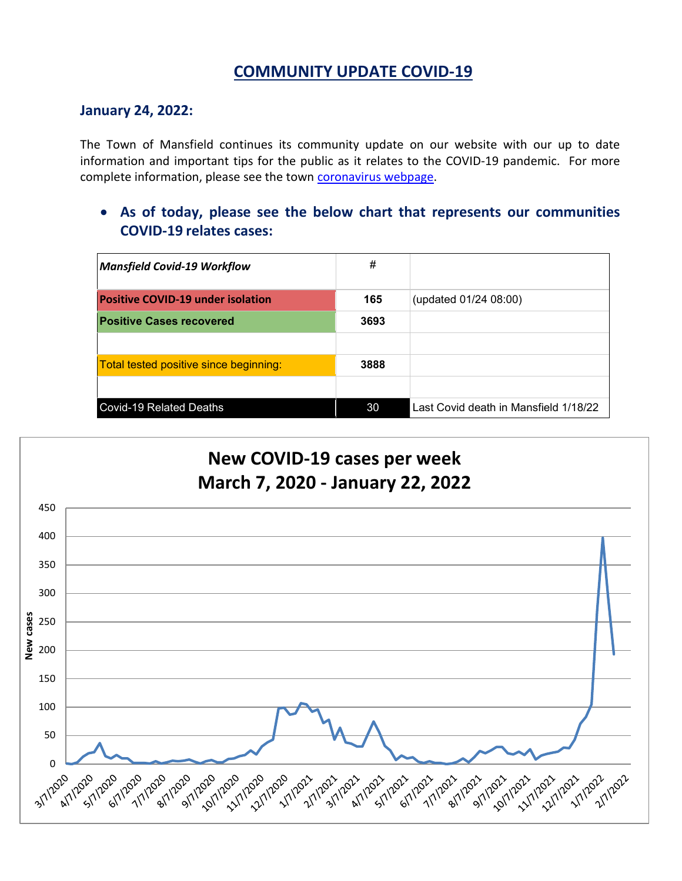# **COMMUNITY UPDATE COVID-19**

### **January 24, 2022:**

The Town of Mansfield continues its community update on our website with our up to date information and important tips for the public as it relates to the COVID-19 pandemic. For more complete information, please see the town [coronavirus webpage.](https://www.mansfieldma.com/536/Coronavirus-Information)

• **As of today, please see the below chart that represents our communities COVID-19 relates cases:**

| <b>Mansfield Covid-19 Workflow</b>       | #    |                                       |
|------------------------------------------|------|---------------------------------------|
| <b>Positive COVID-19 under isolation</b> | 165  | (updated 01/24 08:00)                 |
| <b>Positive Cases recovered</b>          | 3693 |                                       |
|                                          |      |                                       |
| Total tested positive since beginning:   | 3888 |                                       |
|                                          |      |                                       |
| <b>Covid-19 Related Deaths</b>           | 30   | Last Covid death in Mansfield 1/18/22 |

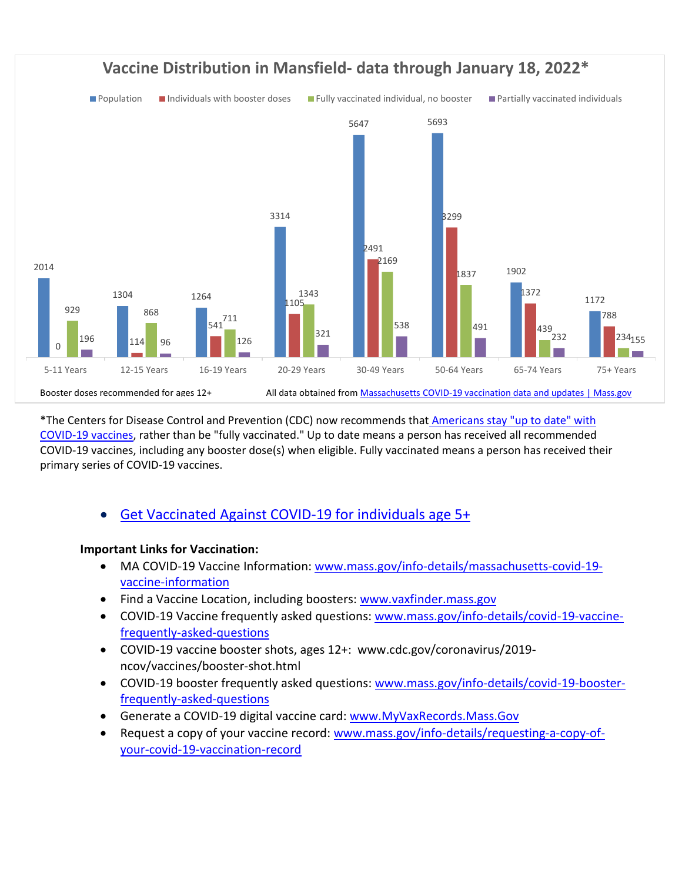

\*The Centers for Disease Control and Prevention (CDC) now recommends that Americans stay "up to date" with [COVID-19 vaccines,](https://www.cdc.gov/coronavirus/2019-ncov/vaccines/stay-up-to-date.html) rather than be "fully vaccinated." Up to date means a person has received all recommended COVID-19 vaccines, including any booster dose(s) when eligible. Fully vaccinated means a person has received their primary series of COVID-19 vaccines.

• [Get Vaccinated Against COVID-19](https://www.mass.gov/covid-19-vaccine) for individuals age 5+

### **Important Links for Vaccination:**

- MA COVID-19 Vaccine Information: [www.mass.gov/info-details/massachusetts-covid-19](http://www.mass.gov/info-details/massachusetts-covid-19-vaccine-information) [vaccine-information](http://www.mass.gov/info-details/massachusetts-covid-19-vaccine-information)
- Find a Vaccine Location, including boosters: [www.vaxfinder.mass.gov](http://www.vaxfinder.mass.gov/)
- COVID-19 Vaccine frequently asked questions: [www.mass.gov/info-details/covid-19-vaccine](http://www.mass.gov/info-details/covid-19-vaccine-frequently-asked-questions)[frequently-asked-questions](http://www.mass.gov/info-details/covid-19-vaccine-frequently-asked-questions)
- COVID-19 vaccine booster shots, ages 12+: www.cdc.gov/coronavirus/2019 ncov/vaccines/booster-shot.html
- COVID-19 booster frequently asked questions: [www.mass.gov/info-details/covid-19-booster](http://www.mass.gov/info-details/covid-19-booster-frequently-asked-questions)[frequently-asked-questions](http://www.mass.gov/info-details/covid-19-booster-frequently-asked-questions)
- Generate a COVID-19 digital vaccine card: [www.MyVaxRecords.Mass.Gov](http://www.myvaxrecords.mass.gov/)
- Request a copy of your vaccine record: [www.mass.gov/info-details/requesting-a-copy-of](http://www.mass.gov/info-details/requesting-a-copy-of-your-covid-19-vaccination-record)[your-covid-19-vaccination-record](http://www.mass.gov/info-details/requesting-a-copy-of-your-covid-19-vaccination-record)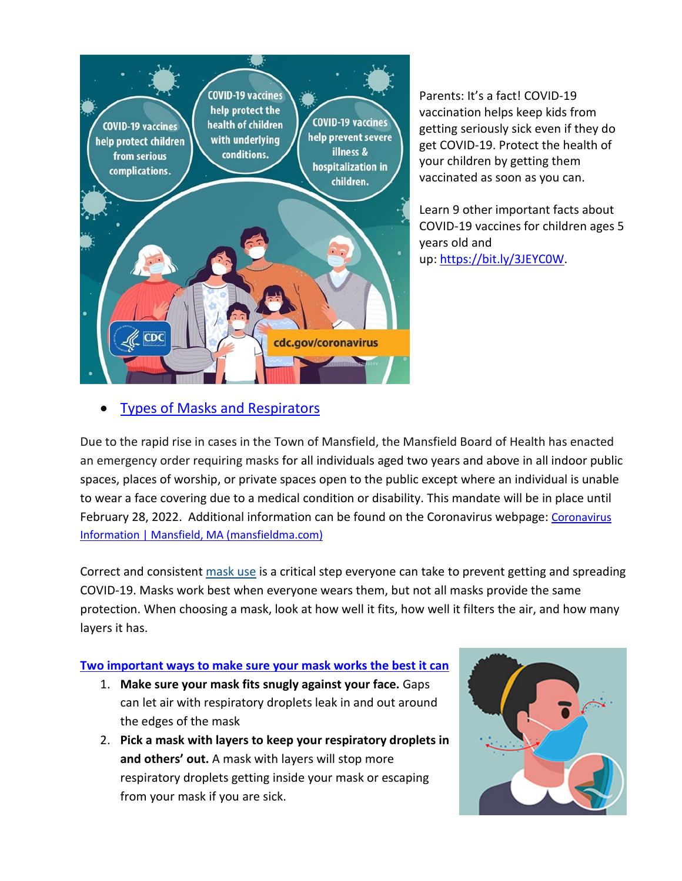

Parents: It's a fact! COVID-19 vaccination helps keep kids from getting seriously sick even if they do get COVID-19. Protect the health of your children by getting them vaccinated as soon as you can.

Learn 9 other important facts about COVID-19 vaccines for children ages 5 years old and up: https://bit.ly/3JEYCOW.

## • [Types of Masks and Respirators](https://www.cdc.gov/coronavirus/2019-ncov/prevent-getting-sick/types-of-masks.html)

Due to the rapid rise in cases in the Town of Mansfield, the Mansfield Board of Health has enacted an emergency order requiring masks for all individuals aged two years and above in all indoor public spaces, places of worship, or private spaces open to the public except where an individual is unable to wear a face covering due to a medical condition or disability. This mandate will be in place until February 28, 2022. Additional information can be found on the [Coronavirus](https://www.mansfieldma.com/536/Coronavirus-Information) webpage: Coronavirus [Information | Mansfield, MA \(mansfieldma.com\)](https://www.mansfieldma.com/536/Coronavirus-Information)

Correct and consistent [mask use](https://www.cdc.gov/coronavirus/2019-ncov/prevent-getting-sick/about-face-coverings.html) is a critical step everyone can take to prevent getting and spreading COVID-19. Masks work best when everyone wears them, but not all masks provide the same protection. When choosing a mask, look at how well it fits, how well it filters the air, and how many layers it has.

### **[Two important ways to make sure your mask works the best it can](https://www.cdc.gov/coronavirus/2019-ncov/your-health/effective-masks.html)**

- 1. **Make sure your mask fits snugly against your face.** Gaps can let air with respiratory droplets leak in and out around the edges of the mask
- 2. **Pick a mask with layers to keep your respiratory droplets in and others' out.** A mask with layers will stop more respiratory droplets getting inside your mask or escaping from your mask if you are sick.

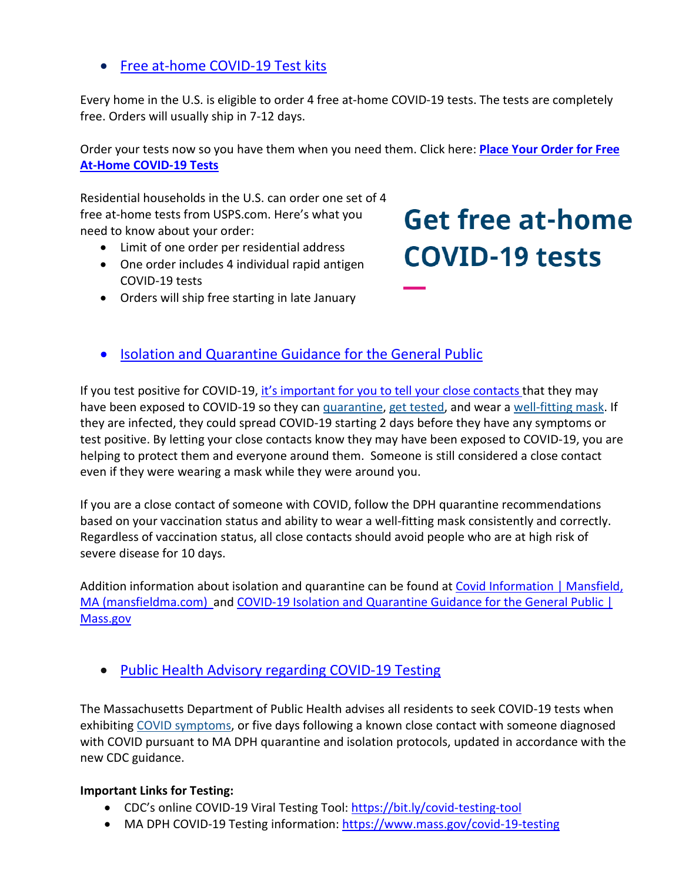## • [Free at-home COVID-19 Test kits](https://www.covidtests.gov/)

Every home in the U.S. is eligible to order 4 free at-home COVID-19 tests. The tests are completely free. Orders will usually ship in 7-12 days.

Order your tests now so you have them when you need them. Click here: **[Place Your Order for Free](https://special.usps.com/testkits)  [At-Home COVID-19 Tests](https://special.usps.com/testkits)**

Residential households in the U.S. can order one set of 4 free at-home tests from USPS.com. Here's what you need to know about your order:

- Limit of one order per residential address
- One order includes 4 individual rapid antigen COVID-19 tests
- Orders will ship free starting in late January

# **Get free at-home COVID-19 tests**

• [Isolation and Quarantine Guidance for the General Public](https://www.mass.gov/info-details/isolation-and-quarantine-guidance-for-the-general-public)

If you test positive for COVID-19, [it's important for you to](https://www.cdc.gov/coronavirus/2019-ncov/daily-life-coping/tell-your-contacts.html) tell your close contacts that they may have been exposed to COVID-19 so they can [quarantine,](https://www.cdc.gov/coronavirus/2019-ncov/your-health/quarantine-isolation.html) [get tested,](https://www.cdc.gov/coronavirus/2019-ncov/testing/diagnostic-testing.html) and wear a [well-fitting mask.](https://www.cdc.gov/coronavirus/2019-ncov/your-health/effective-masks.html) If they are infected, they could spread COVID-19 starting 2 days before they have any symptoms or test positive. By letting your close contacts know they may have been exposed to COVID-19, you are helping to protect them and everyone around them. Someone is still considered a close contact even if they were wearing a mask while they were around you.

If you are a close contact of someone with COVID, follow the DPH quarantine recommendations based on your vaccination status and ability to wear a well-fitting mask consistently and correctly. Regardless of vaccination status, all close contacts should avoid people who are at high risk of severe disease for 10 days.

Addition information about isolation and quarantine can be found at Covid Information | Mansfield, [MA \(mansfieldma.com\)](https://www.mansfieldma.com/601/Covid-Information) and [COVID-19 Isolation and Quarantine Guidance for the General Public |](https://www.mass.gov/info-details/covid-19-isolation-and-quarantine-guidance-for-the-general-public)  [Mass.gov](https://www.mass.gov/info-details/covid-19-isolation-and-quarantine-guidance-for-the-general-public)

• [Public Health Advisory regarding COVID-19 Testing](https://www.mass.gov/advisory/public-health-advisory-regarding-covid-19-testing)

The Massachusetts Department of Public Health advises all residents to seek COVID-19 tests when exhibiting [COVID symptoms,](https://www.mass.gov/info-details/about-covid-19#symptoms-) or five days following a known close contact with someone diagnosed with COVID pursuant to MA DPH quarantine and isolation protocols, updated in accordance with the new CDC guidance.

### **Important Links for Testing:**

- CDC's online COVID-19 Viral Testing Tool: [https://bit.ly/covid-testing-tool](https://bit.ly/covid-testing-tool?fbclid=IwAR2ddn7qeVY_b_v0O-rkK3en8x-EPMGTVlQDDSNZxwhZrjtH_hTNHEzYKP8)
- MA DPH COVID-19 Testing information:<https://www.mass.gov/covid-19-testing>